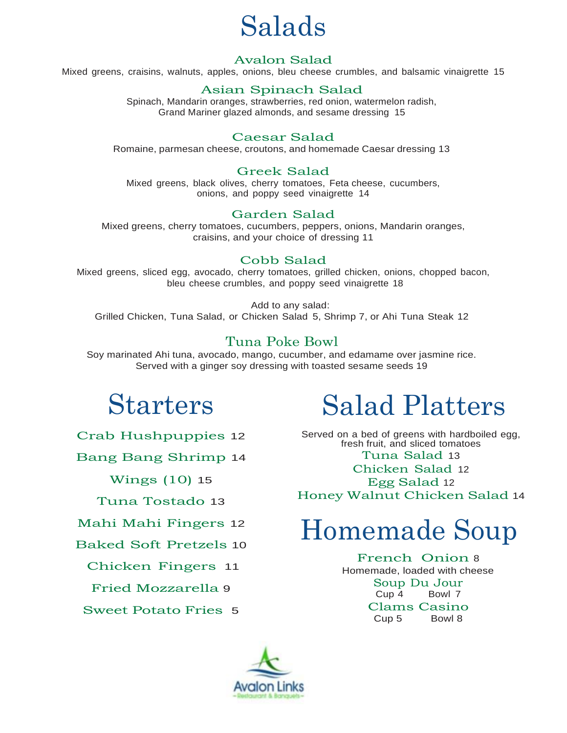## Salads

#### Avalon Salad

Mixed greens, craisins, walnuts, apples, onions, bleu cheese crumbles, and balsamic vinaigrette 15

#### Asian Spinach Salad

Spinach, Mandarin oranges, strawberries, red onion, watermelon radish, Grand Mariner glazed almonds, and sesame dressing 15

#### Caesar Salad

Romaine, parmesan cheese, croutons, and homemade Caesar dressing 13

#### Greek Salad

Mixed greens, black olives, cherry tomatoes, Feta cheese, cucumbers, onions, and poppy seed vinaigrette 14

#### Garden Salad

Mixed greens, cherry tomatoes, cucumbers, peppers, onions, Mandarin oranges, craisins, and your choice of dressing 11

#### Cobb Salad

Mixed greens, sliced egg, avocado, cherry tomatoes, grilled chicken, onions, chopped bacon, bleu cheese crumbles, and poppy seed vinaigrette 18

Add to any salad: Grilled Chicken, Tuna Salad, or Chicken Salad 5, Shrimp 7, or Ahi Tuna Steak 12

#### Tuna Poke Bowl

Soy marinated Ahi tuna, avocado, mango, cucumber, and edamame over jasmine rice. Served with a ginger soy dressing with toasted sesame seeds 19

## Starters

Crab Hushpuppies 12

Bang Bang Shrimp 14

Wings (10) 15

Tuna Tostado 13

Mahi Mahi Fingers 12

Baked Soft Pretzels 10

Chicken Fingers 11

Fried Mozzarella 9

Sweet Potato Fries 5

# Salad Platters

Served on a bed of greens with hardboiled egg, fresh fruit, and sliced tomatoes Tuna Salad 13 Chicken Salad 12 Egg Salad <sup>12</sup> Honey Walnut Chicken Salad 14

# Homemade Soup

French Onion <sup>8</sup> Homemade, loaded with cheese Soup Du Jour Cup 4 Bowl 7 Clams Casino Cup 5 Bowl 8